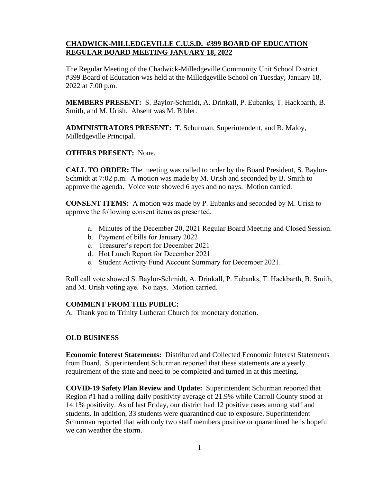# **CHADWICK-MILLEDGEVILLE C.U.S.D. #399 BOARD OF EDUCATION REGULAR BOARD MEETING JANUARY 18, 2022**

The Regular Meeting of the Chadwick-Milledgeville Community Unit School District #399 Board of Education was held at the Milledgeville School on Tuesday, January 18, 2022 at 7:00 p.m.

**MEMBERS PRESENT:** S. Baylor-Schmidt, A. Drinkall, P. Eubanks, T. Hackbarth, B. Smith, and M. Urish. Absent was M. Bibler.

**ADMINISTRATORS PRESENT:** T. Schurman, Superintendent, and B. Maloy, Milledgeville Principal.

#### **OTHERS PRESENT:** None.

**CALL TO ORDER:** The meeting was called to order by the Board President, S. Baylor-Schmidt at 7:02 p.m. A motion was made by M. Urish and seconded by B. Smith to approve the agenda. Voice vote showed 6 ayes and no nays. Motion carried.

**CONSENT ITEMS:** A motion was made by P. Eubanks and seconded by M. Urish to approve the following consent items as presented.

- a. Minutes of the December 20, 2021 Regular Board Meeting and Closed Session.
- b. Payment of bills for January 2022
- c. Treasurer's report for December 2021
- d. Hot Lunch Report for December 2021
- e. Student Activity Fund Account Summary for December 2021.

Roll call vote showed S. Baylor-Schmidt, A. Drinkall, P. Eubanks, T. Hackbarth, B. Smith, and M. Urish voting aye. No nays. Motion carried.

#### **COMMENT FROM THE PUBLIC:**

A. Thank you to Trinity Lutheran Church for monetary donation.

#### **OLD BUSINESS**

**Economic Interest Statements:** Distributed and Collected Economic Interest Statements from Board. Superintendent Schurman reported that these statements are a yearly requirement of the state and need to be completed and turned in at this meeting.

**COVID-19 Safety Plan Review and Update:** Superintendent Schurman reported that Region #1 had a rolling daily positivity average of 21.9% while Carroll County stood at 14.1% positivity. As of last Friday, our district had 12 positive cases among staff and students. In addition, 33 students were quarantined due to exposure. Superintendent Schurman reported that with only two staff members positive or quarantined he is hopeful we can weather the storm.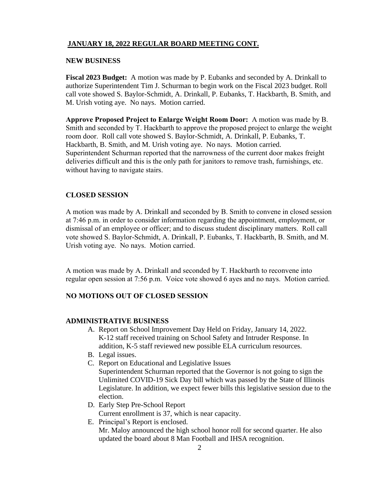# **JANUARY 18, 2022 REGULAR BOARD MEETING CONT.**

#### **NEW BUSINESS**

**Fiscal 2023 Budget:** A motion was made by P. Eubanks and seconded by A. Drinkall to authorize Superintendent Tim J. Schurman to begin work on the Fiscal 2023 budget. Roll call vote showed S. Baylor-Schmidt, A. Drinkall, P. Eubanks, T. Hackbarth, B. Smith, and M. Urish voting aye. No nays. Motion carried.

**Approve Proposed Project to Enlarge Weight Room Door:** A motion was made by B. Smith and seconded by T. Hackbarth to approve the proposed project to enlarge the weight room door. Roll call vote showed S. Baylor-Schmidt, A. Drinkall, P. Eubanks, T. Hackbarth, B. Smith, and M. Urish voting aye. No nays. Motion carried. Superintendent Schurman reported that the narrowness of the current door makes freight deliveries difficult and this is the only path for janitors to remove trash, furnishings, etc. without having to navigate stairs.

### **CLOSED SESSION**

A motion was made by A. Drinkall and seconded by B. Smith to convene in closed session at 7:46 p.m. in order to consider information regarding the appointment, employment, or dismissal of an employee or officer; and to discuss student disciplinary matters. Roll call vote showed S. Baylor-Schmidt, A. Drinkall, P. Eubanks, T. Hackbarth, B. Smith, and M. Urish voting aye. No nays. Motion carried.

A motion was made by A. Drinkall and seconded by T. Hackbarth to reconvene into regular open session at 7:56 p.m. Voice vote showed 6 ayes and no nays. Motion carried.

# **NO MOTIONS OUT OF CLOSED SESSION**

#### **ADMINISTRATIVE BUSINESS**

- A. Report on School Improvement Day Held on Friday, January 14, 2022. K-12 staff received training on School Safety and Intruder Response. In addition, K-5 staff reviewed new possible ELA curriculum resources.
- B. Legal issues.
- C. Report on Educational and Legislative Issues Superintendent Schurman reported that the Governor is not going to sign the Unlimited COVID-19 Sick Day bill which was passed by the State of Illinois Legislature. In addition, we expect fewer bills this legislative session due to the election.
- D. Early Step Pre-School Report Current enrollment is 37, which is near capacity.
- E. Principal's Report is enclosed. Mr. Maloy announced the high school honor roll for second quarter. He also updated the board about 8 Man Football and IHSA recognition.